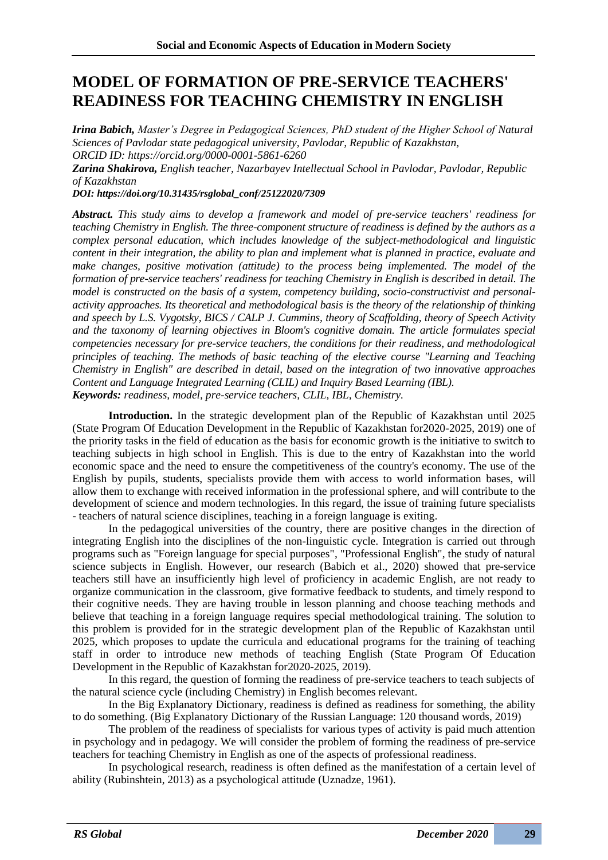## **MODEL OF FORMATION OF PRE-SERVICE TEACHERS' READINESS FOR TEACHING CHEMISTRY IN ENGLISH**

*Irina Babich, Master's Degree in Pedagogical Sciences, PhD student of the Higher School of Natural Sciences of Pavlodar state pedagogical university, Pavlodar, Republic of Kazakhstan, ORCID ID: https://orcid.org/0000-0001-5861-6260*

*Zarina Shakirova, English teacher, Nazarbayev Intellectual School in Pavlodar, Pavlodar, Republic of Kazakhstan*

*DOI: https://doi.org/10.31435/rsglobal\_conf/25122020/7309*

*Abstract. This study aims to develop a framework and model of pre-service teachers' readiness for teaching Chemistry in English. The three-component structure of readiness is defined by the authors as a complex personal education, which includes knowledge of the subject-methodological and linguistic content in their integration, the ability to plan and implement what is planned in practice, evaluate and make changes, positive motivation (attitude) to the process being implemented. The model of the formation of pre-service teachers' readiness for teaching Chemistry in English is described in detail. The model is constructed on the basis of a system, competency building, socio-constructivist and personalactivity approaches. Its theoretical and methodological basis is the theory of the relationship of thinking and speech by L.S. Vygotsky, BICS / CALP J. Cummins, theory of Scaffolding, theory of Speech Activity and the taxonomy of learning objectives in Bloom's cognitive domain. The article formulates special competencies necessary for pre-service teachers, the conditions for their readiness, and methodological principles of teaching. The methods of basic teaching of the elective course "Learning and Teaching Chemistry in English" are described in detail, based on the integration of two innovative approaches Content and Language Integrated Learning (CLIL) and Inquiry Based Learning (IBL). Keywords: readiness, model, pre-service teachers, CLIL, IBL, Chemistry.*

**Introduction.** In the strategic development plan of the Republic of Kazakhstan until 2025 (State Program Of Education Development in the Republic of Kazakhstan for2020-2025, 2019) one of the priority tasks in the field of education as the basis for economic growth is the initiative to switch to teaching subjects in high school in English. This is due to the entry of Kazakhstan into the world economic space and the need to ensure the competitiveness of the country's economy. The use of the English by pupils, students, specialists provide them with access to world information bases, will allow them to exchange with received information in the professional sphere, and will contribute to the development of science and modern technologies. In this regard, the issue of training future specialists - teachers of natural science disciplines, teaching in a foreign language is exiting.

In the pedagogical universities of the country, there are positive changes in the direction of integrating English into the disciplines of the non-linguistic cycle. Integration is carried out through programs such as "Foreign language for special purposes", "Professional English", the study of natural science subjects in English. However, our research (Babich et al., 2020) showed that pre-service teachers still have an insufficiently high level of proficiency in academic English, are not ready to organize communication in the classroom, give formative feedback to students, and timely respond to their cognitive needs. They are having trouble in lesson planning and choose teaching methods and believe that teaching in a foreign language requires special methodological training. The solution to this problem is provided for in the strategic development plan of the Republic of Kazakhstan until 2025, which proposes to update the curricula and educational programs for the training of teaching staff in order to introduce new methods of teaching English (State Program Of Education Development in the Republic of Kazakhstan for2020-2025, 2019).

In this regard, the question of forming the readiness of pre-service teachers to teach subjects of the natural science cycle (including Chemistry) in English becomes relevant.

In the Big Explanatory Dictionary, readiness is defined as readiness for something, the ability to do something. (Big Explanatory Dictionary of the Russian Language: 120 thousand words, 2019)

The problem of the readiness of specialists for various types of activity is paid much attention in psychology and in pedagogy. We will consider the problem of forming the readiness of pre-service teachers for teaching Chemistry in English as one of the aspects of professional readiness.

In psychological research, readiness is often defined as the manifestation of a certain level of ability (Rubinshtein, 2013) as a psychological attitude (Uznadze, 1961).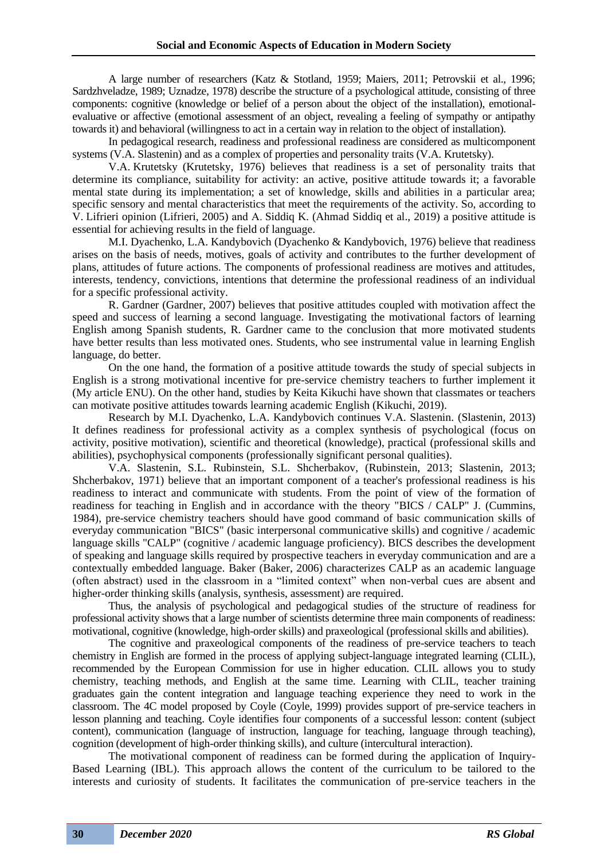A large number of researchers (Katz & Stotland, 1959; Maiers, 2011; Petrovskii et al., 1996; Sardzhveladze, 1989; Uznadze, 1978) describe the structure of a psychological attitude, consisting of three components: cognitive (knowledge or belief of a person about the object of the installation), emotionalevaluative or affective (emotional assessment of an object, revealing a feeling of sympathy or antipathy towards it) and behavioral (willingness to act in a certain way in relation to the object of installation).

In pedagogical research, readiness and professional readiness are considered as multicomponent systems (V.A. Slastenin) and as a complex of properties and personality traits (V.A. Krutetsky).

V.A. Krutetsky (Krutetsky, 1976) believes that readiness is a set of personality traits that determine its compliance, suitability for activity: an active, positive attitude towards it; a favorable mental state during its implementation; a set of knowledge, skills and abilities in a particular area; specific sensory and mental characteristics that meet the requirements of the activity. So, according to V. Lifrieri opinion (Lifrieri, 2005) and А. Siddiq K. (Ahmad Siddiq et al., 2019) a positive attitude is essential for achieving results in the field of language.

M.I. Dyachenko, L.A. Kandybovich (Dyachenko & Kandybovich, 1976) believe that readiness arises on the basis of needs, motives, goals of activity and contributes to the further development of plans, attitudes of future actions. The components of professional readiness are motives and attitudes, interests, tendency, convictions, intentions that determine the professional readiness of an individual for a specific professional activity.

R. Gardner (Gardner, 2007) believes that positive attitudes coupled with motivation affect the speed and success of learning a second language. Investigating the motivational factors of learning English among Spanish students, R. Gardner came to the conclusion that more motivated students have better results than less motivated ones. Students, who see instrumental value in learning English language, do better.

On the one hand, the formation of a positive attitude towards the study of special subjects in English is a strong motivational incentive for pre-service chemistry teachers to further implement it (My article ENU). On the other hand, studies by Keita Kikuchi have shown that classmates or teachers can motivate positive attitudes towards learning academic English (Kikuchi, 2019).

Research by M.I. Dyachenko, L.A. Kandybovich continues V.A. Slastenin. (Slastenin, 2013) It defines readiness for professional activity as a complex synthesis of psychological (focus on activity, positive motivation), scientific and theoretical (knowledge), practical (professional skills and abilities), psychophysical components (professionally significant personal qualities).

V.A. Slastenin, S.L. Rubinstein, S.L. Shcherbakov, (Rubinstein, 2013; Slastenin, 2013; Shcherbakov, 1971) believe that an important component of a teacher's professional readiness is his readiness to interact and communicate with students. From the point of view of the formation of readiness for teaching in English and in accordance with the theory "BICS / CALP" J. (Cummins, 1984), pre-service chemistry teachers should have good command of basic communication skills of everyday communication "BICS" (basic interpersonal communicative skills) and cognitive / academic language skills "CALP" (cognitive / academic language proficiency). BICS describes the development of speaking and language skills required by prospective teachers in everyday communication and are a contextually embedded language. Baker (Baker, 2006) characterizes CALP as an academic language (often abstract) used in the classroom in a "limited context" when non-verbal cues are absent and higher-order thinking skills (analysis, synthesis, assessment) are required.

Thus, the analysis of psychological and pedagogical studies of the structure of readiness for professional activity shows that a large number of scientists determine three main components of readiness: motivational, cognitive (knowledge, high-order skills) and praxeological (professional skills and abilities).

The cognitive and praxeological components of the readiness of pre-service teachers to teach chemistry in English are formed in the process of applying subject-language integrated learning (CLIL), recommended by the European Commission for use in higher education. CLIL allows you to study chemistry, teaching methods, and English at the same time. Learning with CLIL, teacher training graduates gain the content integration and language teaching experience they need to work in the classroom. The 4C model proposed by Coyle (Coyle, 1999) provides support of pre-service teachers in lesson planning and teaching. Coyle identifies four components of a successful lesson: content (subject content), communication (language of instruction, language for teaching, language through teaching), cognition (development of high-order thinking skills), and culture (intercultural interaction).

The motivational component of readiness can be formed during the application of Inquiry-Based Learning (IBL). This approach allows the content of the curriculum to be tailored to the interests and curiosity of students. It facilitates the communication of pre-service teachers in the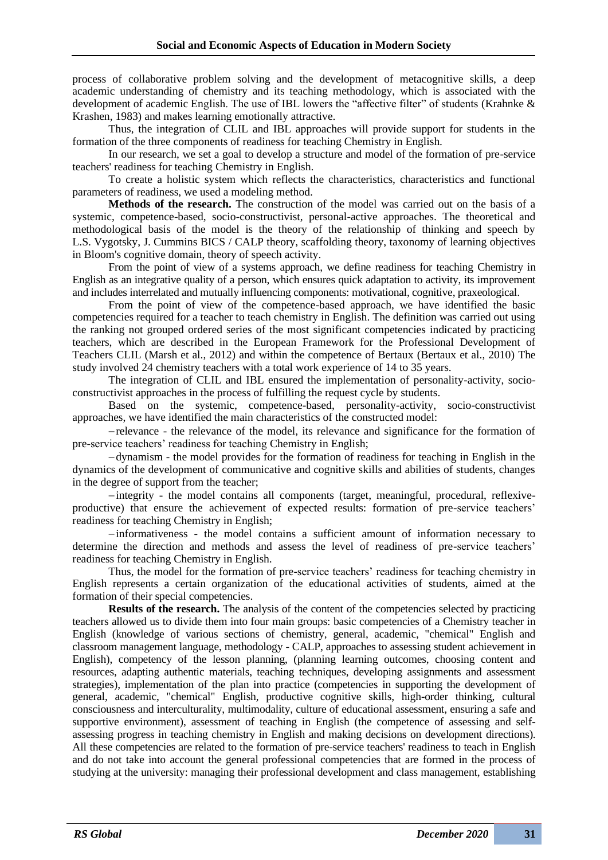process of collaborative problem solving and the development of metacognitive skills, a deep academic understanding of chemistry and its teaching methodology, which is associated with the development of academic English. The use of IBL lowers the "affective filter" of students (Krahnke & Krashen, 1983) and makes learning emotionally attractive.

Thus, the integration of CLIL and IBL approaches will provide support for students in the formation of the three components of readiness for teaching Chemistry in English.

In our research, we set a goal to develop a structure and model of the formation of pre-service teachers' readiness for teaching Chemistry in English.

To create a holistic system which reflects the characteristics, characteristics and functional parameters of readiness, we used a modeling method.

**Methods of the research.** The construction of the model was carried out on the basis of a systemic, competence-based, socio-constructivist, personal-active approaches. The theoretical and methodological basis of the model is the theory of the relationship of thinking and speech by L.S. Vygotsky, J. Cummins BICS / CALP theory, scaffolding theory, taxonomy of learning objectives in Bloom's cognitive domain, theory of speech activity.

From the point of view of a systems approach, we define readiness for teaching Chemistry in English as an integrative quality of a person, which ensures quick adaptation to activity, its improvement and includes interrelated and mutually influencing components: motivational, cognitive, praxeological.

From the point of view of the competence-based approach, we have identified the basic competencies required for a teacher to teach chemistry in English. The definition was carried out using the ranking not grouped ordered series of the most significant competencies indicated by practicing teachers, which are described in the European Framework for the Professional Development of Teachers CLIL (Marsh et al., 2012) and within the competence of Bertaux (Bertaux et al., 2010) The study involved 24 chemistry teachers with a total work experience of 14 to 35 years.

The integration of CLIL and IBL ensured the implementation of personality-activity, socioconstructivist approaches in the process of fulfilling the request cycle by students.

Based on the systemic, competence-based, personality-activity, socio-constructivist approaches, we have identified the main characteristics of the constructed model:

−relevance - the relevance of the model, its relevance and significance for the formation of pre-service teachers' readiness for teaching Chemistry in English;

−dynamism - the model provides for the formation of readiness for teaching in English in the dynamics of the development of communicative and cognitive skills and abilities of students, changes in the degree of support from the teacher;

−integrity - the model contains all components (target, meaningful, procedural, reflexiveproductive) that ensure the achievement of expected results: formation of pre-service teachers' readiness for teaching Chemistry in English;

−informativeness - the model contains a sufficient amount of information necessary to determine the direction and methods and assess the level of readiness of pre-service teachers' readiness for teaching Chemistry in English.

Thus, the model for the formation of pre-service teachers' readiness for teaching chemistry in English represents a certain organization of the educational activities of students, aimed at the formation of their special competencies.

**Results of the research.** The analysis of the content of the competencies selected by practicing teachers allowed us to divide them into four main groups: basic competencies of a Chemistry teacher in English (knowledge of various sections of chemistry, general, academic, "chemical" English and classroom management language, methodology - CALP, approaches to assessing student achievement in English), competency of the lesson planning, (planning learning outcomes, choosing content and resources, adapting authentic materials, teaching techniques, developing assignments and assessment strategies), implementation of the plan into practice (competencies in supporting the development of general, academic, "chemical" English, productive cognitive skills, high-order thinking, cultural consciousness and interculturality, multimodality, culture of educational assessment, ensuring a safe and supportive environment), assessment of teaching in English (the competence of assessing and selfassessing progress in teaching chemistry in English and making decisions on development directions). All these competencies are related to the formation of pre-service teachers' readiness to teach in English and do not take into account the general professional competencies that are formed in the process of studying at the university: managing their professional development and class management, establishing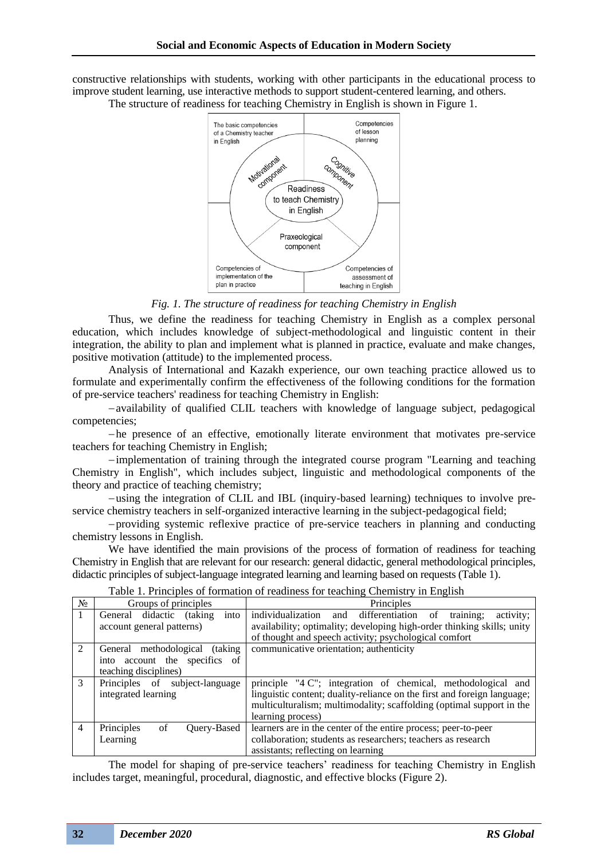constructive relationships with students, working with other participants in the educational process to improve student learning, use interactive methods to support student-centered learning, and others.

The structure of readiness for teaching Chemistry in English is shown in Figure 1.



*Fig. 1. The structure of readiness for teaching Chemistry in English*

Thus, we define the readiness for teaching Chemistry in English as a complex personal education, which includes knowledge of subject-methodological and linguistic content in their integration, the ability to plan and implement what is planned in practice, evaluate and make changes, positive motivation (attitude) to the implemented process.

Analysis of International and Kazakh experience, our own teaching practice allowed us to formulate and experimentally confirm the effectiveness of the following conditions for the formation of pre-service teachers' readiness for teaching Chemistry in English:

−availability of qualified CLIL teachers with knowledge of language subject, pedagogical competencies;

−he presence of an effective, emotionally literate environment that motivates pre-service teachers for teaching Chemistry in English;

−implementation of training through the integrated course program "Learning and teaching Chemistry in English", which includes subject, linguistic and methodological components of the theory and practice of teaching chemistry;

−using the integration of CLIL and IBL (inquiry-based learning) techniques to involve preservice chemistry teachers in self-organized interactive learning in the subject-pedagogical field;

−providing systemic reflexive practice of pre-service teachers in planning and conducting chemistry lessons in English.

We have identified the main provisions of the process of formation of readiness for teaching Сhemistry in English that are relevant for our research: general didactic, general methodological principles, didactic principles of subject-language integrated learning and learning based on requests (Table 1).

| $N_2$ | Groups of principles                                                                                       | Principles                                                                                                                                                                                                                           |
|-------|------------------------------------------------------------------------------------------------------------|--------------------------------------------------------------------------------------------------------------------------------------------------------------------------------------------------------------------------------------|
| 1     | into<br>didactic<br>(taking)<br>General<br>account general patterns)                                       | individualization<br>training;<br>activity;<br>differentiation<br>of<br>and<br>availability; optimality; developing high-order thinking skills; unity                                                                                |
|       |                                                                                                            | of thought and speech activity; psychological comfort                                                                                                                                                                                |
| 2     | (taking)<br>General methodological<br>into account the specifics<br><sub>of</sub><br>teaching disciplines) | communicative orientation; authenticity                                                                                                                                                                                              |
| 3     | Principles of subject-language<br>integrated learning                                                      | principle "4 C"; integration of chemical, methodological and<br>linguistic content; duality-reliance on the first and foreign language;<br>multiculturalism; multimodality; scaffolding (optimal support in the<br>learning process) |
| 4     | Principles<br>Ouery-Based<br>of<br>Learning                                                                | learners are in the center of the entire process; peer-to-peer<br>collaboration; students as researchers; teachers as research<br>assistants; reflecting on learning                                                                 |

Table 1. Principles of formation of readiness for teaching Chemistry in English

The model for shaping of pre-service teachers' readiness for teaching Chemistry in English includes target, meaningful, procedural, diagnostic, and effective blocks (Figure 2).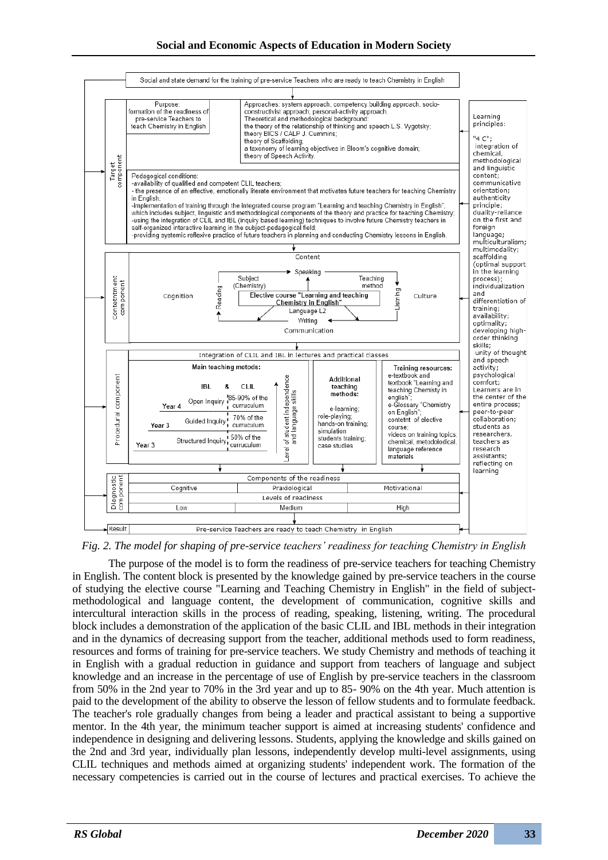

*Fig. 2. The model for shaping of pre-service teachers' readiness for teaching Chemistry in English*

The purpose of the model is to form the readiness of pre-service teachers for teaching Chemistry in English. The content block is presented by the knowledge gained by pre-service teachers in the course of studying the elective course "Learning and Teaching Chemistry in English" in the field of subjectmethodological and language content, the development of communication, cognitive skills and intercultural interaction skills in the process of reading, speaking, listening, writing. The procedural block includes a demonstration of the application of the basic CLIL and IBL methods in their integration and in the dynamics of decreasing support from the teacher, additional methods used to form readiness, resources and forms of training for pre-service teachers. We study Chemistry and methods of teaching it in English with a gradual reduction in guidance and support from teachers of language and subject knowledge and an increase in the percentage of use of English by pre-service teachers in the classroom from 50% in the 2nd year to 70% in the 3rd year and up to 85- 90% on the 4th year. Much attention is paid to the development of the ability to observe the lesson of fellow students and to formulate feedback. The teacher's role gradually changes from being a leader and practical assistant to being a supportive mentor. In the 4th year, the minimum teacher support is aimed at increasing students' confidence and independence in designing and delivering lessons. Students, applying the knowledge and skills gained on the 2nd and 3rd year, individually plan lessons, independently develop multi-level assignments, using CLIL techniques and methods aimed at organizing students' independent work. The formation of the necessary competencies is carried out in the course of lectures and practical exercises. To achieve the